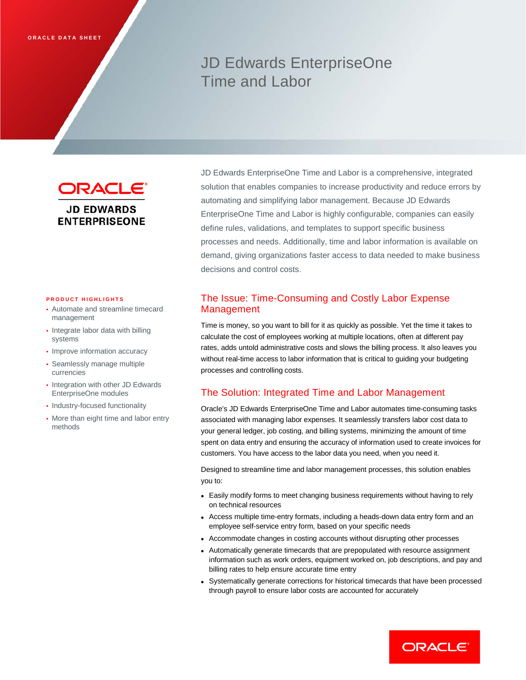# JD Edwards EnterpriseOne Time and Labor

**ORACLE® JD EDWARDS ENTERPRISEONE** 

#### **PRODUCT HIGHLIGHTS**

- Automate and streamline timecard management
- Integrate labor data with billing systems
- Improve information accuracy
- Seamlessly manage multiple currencies
- Integration with other JD Edwards EnterpriseOne modules
- Industry-focused functionality
- More than eight time and labor entry methods

JD Edwards EnterpriseOne Time and Labor is a comprehensive, integrated solution that enables companies to increase productivity and reduce errors by automating and simplifying labor management. Because JD Edwards EnterpriseOne Time and Labor is highly configurable, companies can easily define rules, validations, and templates to support specific business processes and needs. Additionally, time and labor information is available on demand, giving organizations faster access to data needed to make business decisions and control costs.

# The Issue: Time-Consuming and Costly Labor Expense Management

Time is money, so you want to bill for it as quickly as possible. Yet the time it takes to calculate the cost of employees working at multiple locations, often at different pay rates, adds untold administrative costs and slows the billing process. It also leaves you without real-time access to labor information that is critical to guiding your budgeting processes and controlling costs.

## The Solution: Integrated Time and Labor Management

Oracle's JD Edwards EnterpriseOne Time and Labor automates time-consuming tasks associated with managing labor expenses. It seamlessly transfers labor cost data to your general ledger, job costing, and billing systems, minimizing the amount of time spent on data entry and ensuring the accuracy of information used to create invoices for customers. You have access to the labor data you need, when you need it.

Designed to streamline time and labor management processes, this solution enables you to:

- Easily modify forms to meet changing business requirements without having to rely on technical resources
- Access multiple time-entry formats, including a heads-down data entry form and an employee self-service entry form, based on your specific needs
- Accommodate changes in costing accounts without disrupting other processes
- Automatically generate timecards that are prepopulated with resource assignment information such as work orders, equipment worked on, job descriptions, and pay and billing rates to help ensure accurate time entry
- Systematically generate corrections for historical timecards that have been processed through payroll to ensure labor costs are accounted for accurately

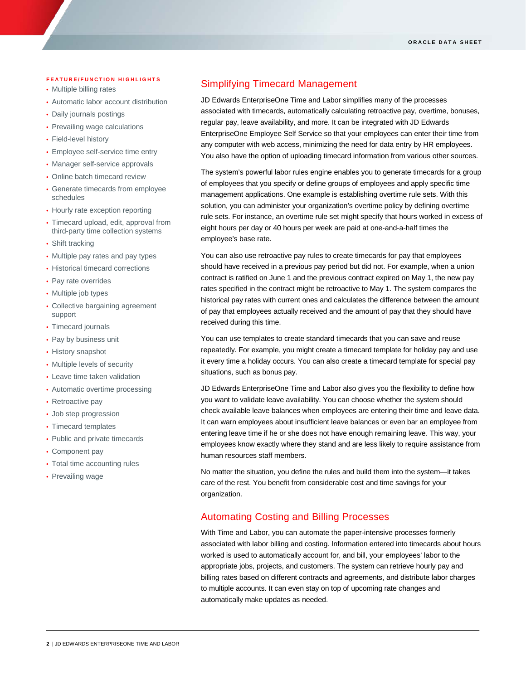#### **FEATURE/FUNCTION HIGHLIGHTS**

- Multiple billing rates
- Automatic labor account distribution
- Daily journals postings
- Prevailing wage calculations
- Field-level history
- Employee self-service time entry
- Manager self-service approvals
- Online batch timecard review
- Generate timecards from employee schedules
- Hourly rate exception reporting
- Timecard upload, edit, approval from third-party time collection systems
- Shift tracking
- Multiple pay rates and pay types
- Historical timecard corrections
- Pay rate overrides
- Multiple job types
- Collective bargaining agreement support
- Timecard journals
- Pay by business unit
- History snapshot
- Multiple levels of security
- Leave time taken validation
- Automatic overtime processing
- Retroactive pay
- Job step progression
- Timecard templates
- Public and private timecards
- Component pay
- Total time accounting rules
- Prevailing wage

#### Simplifying Timecard Management

JD Edwards EnterpriseOne Time and Labor simplifies many of the processes associated with timecards, automatically calculating retroactive pay, overtime, bonuses, regular pay, leave availability, and more. It can be integrated with JD Edwards EnterpriseOne Employee Self Service so that your employees can enter their time from any computer with web access, minimizing the need for data entry by HR employees. You also have the option of uploading timecard information from various other sources.

The system's powerful labor rules engine enables you to generate timecards for a group of employees that you specify or define groups of employees and apply specific time management applications. One example is establishing overtime rule sets. With this solution, you can administer your organization's overtime policy by defining overtime rule sets. For instance, an overtime rule set might specify that hours worked in excess of eight hours per day or 40 hours per week are paid at one-and-a-half times the employee's base rate.

You can also use retroactive pay rules to create timecards for pay that employees should have received in a previous pay period but did not. For example, when a union contract is ratified on June 1 and the previous contract expired on May 1, the new pay rates specified in the contract might be retroactive to May 1. The system compares the historical pay rates with current ones and calculates the difference between the amount of pay that employees actually received and the amount of pay that they should have received during this time.

You can use templates to create standard timecards that you can save and reuse repeatedly. For example, you might create a timecard template for holiday pay and use it every time a holiday occurs. You can also create a timecard template for special pay situations, such as bonus pay.

JD Edwards EnterpriseOne Time and Labor also gives you the flexibility to define how you want to validate leave availability. You can choose whether the system should check available leave balances when employees are entering their time and leave data. It can warn employees about insufficient leave balances or even bar an employee from entering leave time if he or she does not have enough remaining leave. This way, your employees know exactly where they stand and are less likely to require assistance from human resources staff members.

No matter the situation, you define the rules and build them into the system—it takes care of the rest. You benefit from considerable cost and time savings for your organization.

## Automating Costing and Billing Processes

With Time and Labor, you can automate the paper-intensive processes formerly associated with labor billing and costing. Information entered into timecards about hours worked is used to automatically account for, and bill, your employees' labor to the appropriate jobs, projects, and customers. The system can retrieve hourly pay and billing rates based on different contracts and agreements, and distribute labor charges to multiple accounts. It can even stay on top of upcoming rate changes and automatically make updates as needed.